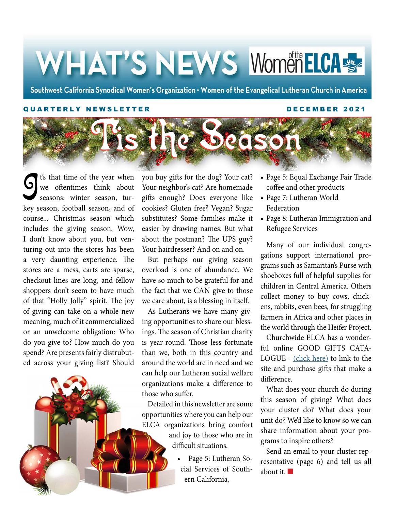# WHAT'S NEWS WomenEICAS

Southwest California Synodical Women's Organization . Women of the Evangelical Lutheran Church in America

#### QUARTERLY NEWSLETTER DECEMBER 2021



g<br>J t's that time of the year when we oftentimes think about seasons: winter season, turkey season, football season, and of course... Christmas season which includes the giving season. Wow, I don't know about you, but venturing out into the stores has been a very daunting experience. The stores are a mess, carts are sparse, checkout lines are long, and fellow shoppers don't seem to have much of that "Holly Jolly" spirit. The joy of giving can take on a whole new meaning, much of it commercialized or an unwelcome obligation: Who do you give to? How much do you spend? Are presents fairly distrubuted across your giving list? Should you buy gifts for the dog? Your cat? Your neighbor's cat? Are homemade gifts enough? Does everyone like cookies? Gluten free? Vegan? Sugar substitutes? Some families make it easier by drawing names. But what about the postman? The UPS guy? Your hairdresser? And on and on.

But perhaps our giving season overload is one of abundance. We have so much to be grateful for and the fact that we CAN give to those we care about, is a blessing in itself.

As Lutherans we have many giving opportunities to share our blessings. The season of Christian charity is year-round. Those less fortunate than we, both in this country and around the world are in need and we can help our Lutheran social welfare organizations make a difference to those who suffer.

Detailed in this newsletter are some opportunities where you can help our ELCA organizations bring comfort

> and joy to those who are in difficult situations.

> > • Page 5: Lutheran Social Services of Southern California,

- Page 5: Equal Exchange Fair Trade coffee and other products
- Page 7: Lutheran World Federation
- Page 8: Lutheran Immigration and Refugee Services

Many of our individual congregations support international programs such as Samaritan's Purse with shoeboxes full of helpful supplies for children in Central America. Others collect money to buy cows, chickens, rabbits, even bees, for struggling farmers in Africa and other places in the world through the Heifer Project.

Churchwide ELCA has a wonderful online GOOD GIFTS CATA-LOGUE - [\(click here\)](https://goodgifts.elca.org/?_ga=2.175849252.749957031.1638482305-1843483012.1638482305) to link to the site and purchase gifts that make a difference.

What does your church do during this season of giving? What does your cluster do? What does your unit do? We'd like to know so we can share information about your programs to inspire others?

Send an email to your cluster representative (page 6) and tell us all about it.  $\blacksquare$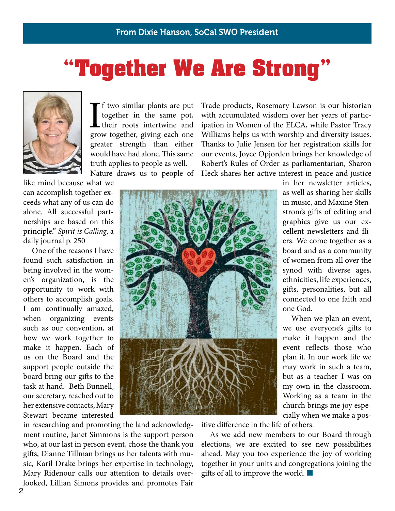# "Together We Are Strong"



If two similar plants are put<br>together in the same pot,<br>their roots intertwine and<br>grow together, giving each one f two similar plants are put together in the same pot, their roots intertwine and greater strength than either would have had alone. This same truth applies to people as well. Nature draws us to people of

Trade products, Rosemary Lawson is our historian with accumulated wisdom over her years of participation in Women of the ELCA, while Pastor Tracy Williams helps us with worship and diversity issues. Thanks to Julie Jensen for her registration skills for our events, Joyce Opjorden brings her knowledge of Robert's Rules of Order as parliamentarian, Sharon Heck shares her active interest in peace and justice

like mind because what we can accomplish together exceeds what any of us can do alone. All successful partnerships are based on this principle." *Spirit is Calling*, a daily journal p. 250

One of the reasons I have found such satisfaction in being involved in the women's organization, is the opportunity to work with others to accomplish goals. I am continually amazed, when organizing events such as our convention, at how we work together to make it happen. Each of us on the Board and the support people outside the board bring our gifts to the task at hand. Beth Bunnell, our secretary, reached out to her extensive contacts, Mary Stewart became interested



in researching and promoting the land acknowledgment routine, Janet Simmons is the support person who, at our last in person event, chose the thank you gifts, Dianne Tillman brings us her talents with music, Karil Drake brings her expertise in technology, Mary Ridenour calls our attention to details overlooked, Lillian Simons provides and promotes Fair in her newsletter articles, as well as sharing her skills in music, and Maxine Stenstrom's gifts of editing and graphics give us our excellent newsletters and fliers. We come together as a board and as a community of women from all over the synod with diverse ages, ethnicities, life experiences, gifts, personalities, but all connected to one faith and one God.

When we plan an event, we use everyone's gifts to make it happen and the event reflects those who plan it. In our work life we may work in such a team, but as a teacher I was on my own in the classroom. Working as a team in the church brings me joy especially when we make a pos-

itive difference in the life of others.

As we add new members to our Board through elections, we are excited to see new possibilities ahead. May you too experience the joy of working together in your units and congregations joining the gifts of all to improve the world.  $\blacksquare$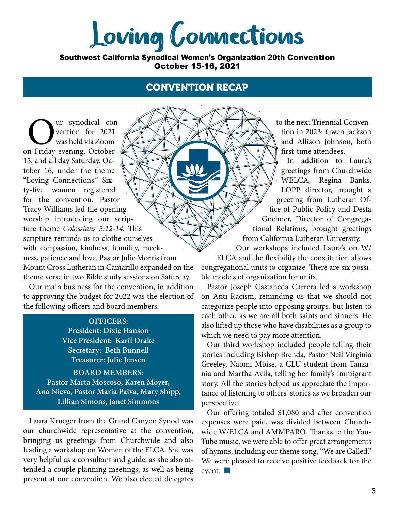Loving Connections

Southwest California Synodical Women's Organization 20th Convention October 15-16, 2021

#### CONVENTION RECAP

**OUR EXECUTE SYNODICAL CONTRACTE SURVEYOR SERVERTIST SURVEYOR SERVERTIST SURVEYOR STRAIGHT STRAIGHT STRAIGHT STRAIGHT STRAIGHT STRAIGHT STRAIGHT STRAIGHT STRAIGHT STRAIGHT STRAIGHT STRAIGHT STRAIGHT STRAIGHT STRAIGHT STRAI** vention for 2021 was held via Zoom 15, and all day Saturday, October 16, under the theme "Loving Connections." Sixty-five women registered for the convention. Pastor Tracy Williams led the opening worship introducing our scripture theme *Colossians 3:12-14.* This scripture reminds us to clothe ourselves with compassion, kindness, humility, meekness, patience and love. Pastor Julie Morris from Mount Cross Lutheran in Camarillo expanded on the theme verse in two Bible study sessions on Saturday.

Our main business for the convention, in addition to approving the budget for 2022 was the election of the following officers and board members.

#### **OFFICERS:**

**President: Dixie Hanson Vice President: Karil Drake Secretary: Beth Bunnell Treasurer: Julie Jensen BOARD MEMBERS: Pastor Marta Moscoso, Karen Moyer, Ana Nieva, Pastor Maria Paiva, Mary Shipp, Lillian Simons, Janet Simmons**

Laura Krueger from the Grand Canyon Synod was our churchwide representative at the convention, bringing us greetings from Churchwide and also leading a workshop on Women of the ELCA. She was very helpful as a consultant and guide, as she also attended a couple planning meetings, as well as being present at our convention. We also elected delegates

to the next Triennial Convention in 2023: Gwen Jackson and Allison Johnson, both first-time attendees.

In addition to Laura's greetings from Churchwide WELCA, Regina Banks, LOPP director, brought a greeting from Lutheran Office of Public Policy and Desta Goehner, Director of Congregational Relations, brought greetings from California Lutheran University.

Our workshops included Laura's on W/

ELCA and the flexibility the constitution allows congregational units to organize. There are six possible models of organization for units.

Pastor Joseph Castaneda Carrera led a workshop on Anti-Racism, reminding us that we should not categorize people into opposing groups, but listen to each other, as we are all both saints and sinners. He also lifted up those who have disabilities as a group to which we need to pay more attention.

Our third workshop included people telling their stories including Bishop Brenda, Pastor Neil Virginia Greeley, Naomi Mbise, a CLU student from Tanzania and Martha Avila, telling her family's immigrant story. All the stories helped us appreciate the importance of listening to others' stories as we broaden our perspective.

Our offering totaled \$1,080 and after convention expenses were paid, was divided between Churchwide W/ELCA and AMMPARO. Thanks to the You-Tube music, we were able to offer great arrangements of hymns, including our theme song, "We are Called." We were pleased to receive positive feedback for the event.  $\blacksquare$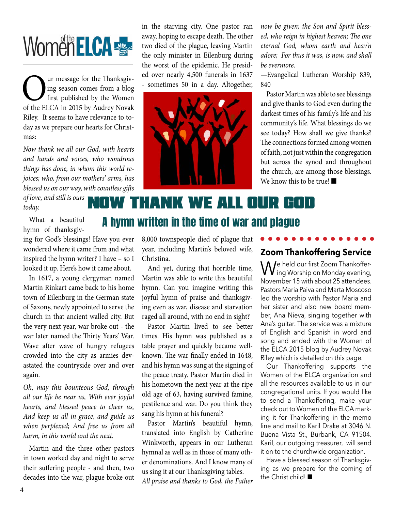# Women**ELCA**

Our message for the Thanksgiv-<br>ing season comes from a blog<br>first published by the Women<br>of the ELCA in 2015 by Audrey Novak ing season comes from a blog first published by the Women of the ELCA in 2015 by Audrey Novak Riley. It seems to have relevance to today as we prepare our hearts for Christmas:

*Now thank we all our God, with hearts and hands and voices, who wondrous things has done, in whom this world rejoices; who, from our mothers' arms, has blessed us on our way, with countless gifts* 

*of love, and still is ours today.*

in the starving city. One pastor ran away, hoping to escape death. The other two died of the plague, leaving Martin the only minister in Eilenburg during the worst of the epidemic. He presided over nearly 4,500 funerals in 1637 - sometimes 50 in a day. Altogether,



*now be given; the Son and Spirit blessed, who reign in highest heaven; The one eternal God, whom earth and heav'n adore; For thus it was, is now, and shall be evermore.*

—Evangelical Lutheran Worship 839, 840

Pastor Martin was able to see blessings and give thanks to God even during the darkest times of his family's life and his community's life. What blessings do we see today? How shall we give thanks? The connections formed among women of faith, not just within the congregation but across the synod and throughout the church, are among those blessings. We know this to be true!  $\blacksquare$ 

## Now thank we all our God A hymn written in the time of war and plague

What a beautiful hymn of thanksgiv-

ing for God's blessings! Have you ever wondered where it came from and what inspired the hymn writer? I have – so I looked it up. Here's how it came about.

In 1617, a young clergyman named Martin Rinkart came back to his home town of Eilenburg in the German state of Saxony, newly appointed to serve the church in that ancient walled city. But the very next year, war broke out - the war later named the Thirty Years' War. Wave after wave of hungry refugees crowded into the city as armies devastated the countryside over and over again.

*Oh, may this bounteous God, through all our life be near us, With ever joyful hearts, and blessed peace to cheer us, And keep us all in grace, and guide us when perplexed; And free us from all harm, in this world and the next.*

Martin and the three other pastors in town worked day and night to serve their suffering people - and then, two decades into the war, plague broke out 8,000 townspeople died of plague that year, including Martin's beloved wife, Christina.

And yet, during that horrible time, Martin was able to write this beautiful hymn. Can you imagine writing this joyful hymn of praise and thanksgiving even as war, disease and starvation raged all around, with no end in sight?

Pastor Martin lived to see better times. His hymn was published as a table prayer and quickly became wellknown. The war finally ended in 1648, and his hymn was sung at the signing of the peace treaty. Pastor Martin died in his hometown the next year at the ripe old age of 63, having survived famine, pestilence and war. Do you think they sang his hymn at his funeral?

Pastor Martin's beautiful hymn, translated into English by Catherine Winkworth, appears in our Lutheran hymnal as well as in those of many other denominations. And I know many of us sing it at our Thanksgiving tables. *All praise and thanks to God, the Father* 

#### **Zoom Thankoffering Service**

We held our first Zoom Thankoffer- $\bm{V}$  ing Worship on Monday evening, November 15 with about 25 attendees. Pastors Maria Paiva and Marta Moscoso led the worship with Pastor Maria and her sister and also new board member, Ana Nieva, singing together with Ana's guitar. The service was a mixture of English and Spanish in word and song and ended with the Women of the ELCA 2015 blog by Audrey Novak Riley which is detailed on this page.

Our Thankoffering supports the Women of the ELCA organization and all the resources available to us in our congregational units. If you would like to send a Thankoffering, make your check out to Women of the ELCA marking it for Thankoffering in the memo line and mail to Karil Drake at 3046 N. Buena Vista St., Burbank, CA 91504. Karil, our outgoing treasurer, will send it on to the churchwide organization.

Have a blessed season of Thanksgiving as we prepare for the coming of the Christ child! $\blacksquare$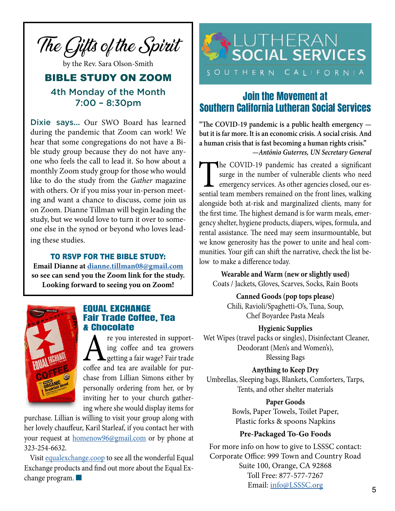

by the Rev. Sara Olson-Smith

### BIBLE STUDY ON ZOOM 4th Monday of the Month 7:00 – 8:30pm

Dixie says... Our SWO Board has learned during the pandemic that Zoom can work! We hear that some congregations do not have a Bible study group because they do not have anyone who feels the call to lead it. So how about a monthly Zoom study group for those who would like to do the study from the *Gather* magazine with others. Or if you miss your in-person meeting and want a chance to discuss, come join us on Zoom. Dianne Tillman will begin leading the study, but we would love to turn it over to someone else in the synod or beyond who loves leading these studies.

#### TO RSVP FOR THE BIBLE STUDY:

**Email Dianne at dianne.tillman08@gmail.com so see can send you the Zoom link for the study. Looking forward to seeing you on Zoom!**



#### EQUAL EXCHANGE Fair Trade Coffee, Tea & Chocolate

re you interested in support-<br>ing coffee and tea growers<br>coffee and tea are available for puring coffee and tea growers getting a fair wage? Fair trade coffee and tea are available for purchase from Lillian Simons either by personally ordering from her, or by inviting her to your church gathering where she would display items for

purchase. Lillian is willing to visit your group along with her lovely chauffeur, Karil Starleaf, if you contact her with your request at homenow96@gmail.com or by phone at 323-254-6632.

Visit [equalexchange.coop](http://equalexchange.coop) to see all the wonderful Equal Exchange products and find out more about the Equal Exchange program.  $\blacksquare$ 



### Join the Movement at Southern California Lutheran Social Services

**"The COVID-19 pandemic is a public health emergency but it is far more. It is an economic crisis. A social crisis. And a human crisis that is fast becoming a human rights crisis."** 

*—António Guterres, UN Secretary General*

The COVID-19 pandemic has created a significant<br>surge in the number of vulnerable clients who need<br>emergency services. As other agencies closed, our es-<br>sential team members remained on the front lines, walking surge in the number of vulnerable clients who need emergency services. As other agencies closed, our essential team members remained on the front lines, walking alongside both at-risk and marginalized clients, many for the first time. The highest demand is for warm meals, emergency shelter, hygiene products, diapers, wipes, formula, and rental assistance. The need may seem insurmountable, but we know generosity has the power to unite and heal communities. Your gift can shift the narrative, check the list below to make a difference today.

**Wearable and Warm (new or slightly used)** Coats / Jackets, Gloves, Scarves, Socks, Rain Boots

**Canned Goods (pop tops please)** Chili, Ravioli/Spaghetti-O's, Tuna, Soup, Chef Boyardee Pasta Meals

#### **Hygienic Supplies**

 Wet Wipes (travel packs or singles), Disinfectant Cleaner, Deodorant (Men's and Women's), Blessing Bags

#### **Anything to Keep Dry**

Umbrellas, Sleeping bags, Blankets, Comforters, Tarps, Tents, and other shelter materials

#### **Paper Goods**

Bowls, Paper Towels, Toilet Paper, Plastic forks & spoons Napkins

#### **Pre-Packaged To-Go Foods**

For more info on how to give to LSSSC contact: Corporate Office: 999 Town and Country Road Suite 100, Orange, CA 92868 Toll Free: 877-577-7267 Email: [info@LSSSC.org](mailto:info%40LSSSC.org%20?subject=)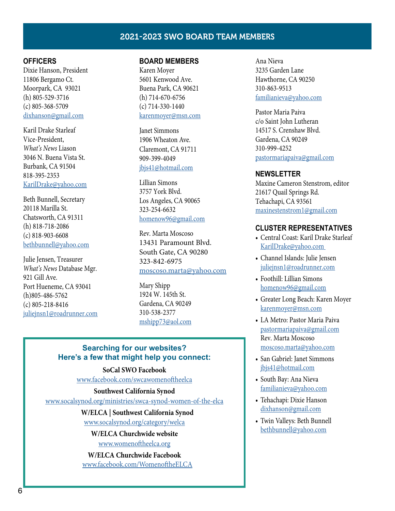#### 2021-2023 SWO BOARD TEAM MEMBERS

#### **OFFICERS**

Dixie Hanson, President 11806 Bergamo Ct. Moorpark, CA 93021 (h) 805-529-3716 (c) 805-368-5709 [dixhanson@gmail.com](mailto:dixhanson%40gmail.com?subject=)

Karil Drake Starleaf Vice-President, *What's News* Liason 3046 N. Buena Vista St. Burbank, CA 91504 818-395-2353 KarilDrake@yahoo.com

Beth Bunnell, Secretary 20118 Marilla St. Chatsworth, CA 91311 (h) 818-718-2086 (c) 818-903-6608 bethbunnell@yahoo.com

Julie Jensen, Treasurer *What's News* Database Mgr. 921 Gill Ave. Port Hueneme, CA 93041 (h)805-486-5762 (c) 805-218-8416 juliejnsn1@roadrunner.com

#### **BOARD MEMBERS**

Karen Moyer 5601 Kenwood Ave. Buena Park, CA 90621 (h) 714-670-6756 (c) 714-330-1440 karenmoyer@msn.com

Janet Simmons 1906 Wheaton Ave. Claremont, CA 91711 909-399-4049 [jbjs41@hotmail.com](mailto:jbjs41%40hotmail.com%20%20%20%20%20?subject=)

Lillian Simons 3757 York Blvd. Los Angeles, CA 90065 323-254-6632 homenow96@gmail.com

Rev. Marta Moscoso 13431 Paramount Blvd. South Gate, CA 90280 323-842-6975 moscoso.marta@yahoo.com

Mary Shipp 1924 W. 145th St. Gardena, CA 90249 310-538-2377 mshipp73@aol.com

#### **Searching for our websites? Here's a few that might help you connect:**

#### **SoCal SWO Facebook**

www.facebook.com/swcawomenoftheelca

#### **Southwest California Synod**

www.socalsynod.org/ministries/swca-synod-women-of-the-elca

#### **W/ELCA | Southwest California Synod**

www.socalsynod.org/category/welca

**W/ELCA Churchwide website** www.womenoftheelca.org

**W/ELCA Churchwide Facebook** www.facebook.com/WomenoftheELCA

Ana Nieva 3235 Garden Lane Hawthorne, CA 90250 310-863-9513 familianieva@yahoo.com

Pastor Maria Paiva c/o Saint John Lutheran 14517 S. Crenshaw Blvd. Gardena, CA 90249 310-999-4252 pastormariapaiva@gmail.com

#### **NEWSLETTER**

Maxine Cameron Stenstrom, editor 21617 Quail Springs Rd. Tehachapi, CA 93561 maxinestenstrom1@gmail.com

#### **CLUSTER REPRESENTATIVES**

- Central Coast: Karil Drake Starleaf KarilDrake@yahoo.com
- Channel Islands: Julie Jensen juliejnsn1@roadrunner.com
- Foothill: Lillian Simons homenow96@gmail.com
- Greater Long Beach: Karen Moyer karenmoyer@msn.com
- LA Metro: Pastor Maria Paiva pastormariapaiva@gmail.com Rev. Marta Moscoso moscoso.marta@yahoo.com
- San Gabriel: Janet Simmons jbjs41@hotmail.com
- South Bay: Ana Nieva familianieva@yahoo.com
- Tehachapi: Dixie Hanson dixhanson@gmail.com
- Twin Valleys: Beth Bunnell bethbunnell@yahoo.com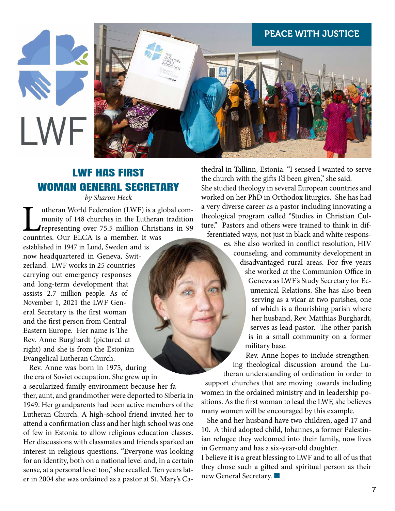

### LWF HAS FIRST WOMAN GENERAL SECRETARY

*by Sharon Heck*

Important World Federation (LWF) is a global com-<br>munity of 148 churches in the Lutheran tradition<br>representing over 75.5 million Christians in 99<br>countries. Our ELCA is a member. It was munity of 148 churches in the Lutheran tradition representing over 75.5 million Christians in 99 countries. Our ELCA is a member. It was

established in 1947 in Lund, Sweden and is now headquartered in Geneva, Switzerland. LWF works in 25 countries carrying out emergency responses and long-term development that assists 2.7 million people. As of November 1, 2021 the LWF General Secretary is the first woman and the first person from Central Eastern Europe. Her name is The Rev. Anne Burghardt (pictured at right) and she is from the Estonian Evangelical Lutheran Church.

Rev. Anne was born in 1975, during the era of Soviet occupation. She grew up in a secularized family environment because her father, aunt, and grandmother were deported to Siberia in 1949. Her grandparents had been active members of the Lutheran Church. A high-school friend invited her to attend a confirmation class and her high school was one of few in Estonia to allow religious education classes. Her discussions with classmates and friends sparked an interest in religious questions. "Everyone was looking for an identity, both on a national level and, in a certain sense, at a personal level too," she recalled. Ten years later in 2004 she was ordained as a pastor at St. Mary's Cathedral in Tallinn, Estonia. "I sensed I wanted to serve the church with the gifts I'd been given," she said.

She studied theology in several European countries and worked on her PhD in Orthodox liturgics. She has had a very diverse career as a pastor including innovating a theological program called "Studies in Christian Culture." Pastors and others were trained to think in differentiated ways, not just in black and white respons-

es. She also worked in conflict resolution, HIV counseling, and community development in

> disadvantaged rural areas. For five years she worked at the Communion Office in Geneva as LWF's Study Secretary for Ecumenical Relations. She has also been serving as a vicar at two parishes, one of which is a flourishing parish where her husband, Rev. Matthias Burghardt, serves as lead pastor. The other parish is in a small community on a former military base.

Rev. Anne hopes to include strengthening theological discussion around the Lutheran understanding of ordination in order to

support churches that are moving towards including women in the ordained ministry and in leadership positions. As the first woman to lead the LWF, she believes many women will be encouraged by this example.

She and her husband have two children, aged 17 and 10. A third adopted child, Johannes, a former Palestinian refugee they welcomed into their family, now lives in Germany and has a six-year-old daughter.

I believe it is a great blessing to LWF and to all of us that they chose such a gifted and spiritual person as their new General Secretary.